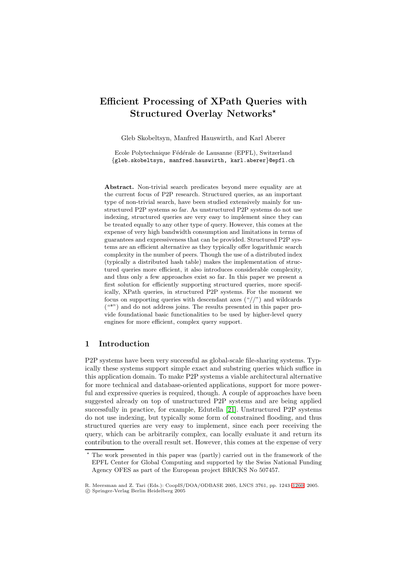# **Efficient Processing of XPath Queries with Structured Overlay Networks**

Gleb Skobeltsyn, Manfred Hauswirth, and Karl Aberer

Ecole Polytechnique Fédérale de Lausanne (EPFL), Switzerland {gleb.skobeltsyn, manfred.hauswirth, karl.aberer}@epfl.ch

**Abstract.** Non-trivial search predicates beyond mere equality are at the current focus of P2P research. Structured queries, as an important type of non-trivial search, have been studied extensively mainly for unstructured P2P systems so far. As unstructured P2P systems do not use indexing, structured queries are very easy to implement since they can be treated equally to any other type of query. However, this comes at the expense of very high bandwidth consumption and limitations in terms of guarantees and expressiveness that can be provided. Structured P2P systems are an efficient alternative as they typically offer logarithmic search complexity in the number of peers. Though the use of a distributed index (typically a distributed hash table) makes the implementation of structured queries more efficient, it also introduces considerable complexity, and thus only a few approaches exist so far. In this paper we present a first solution for efficiently supporting structured queries, more specifically, XPath queries, in structured P2P systems. For the moment we focus on supporting queries with descendant axes  $(\frac{u}{v})$  and wildcards  $($ <sup>"\*"</sup>) and do not address joins. The results presented in this paper provide foundational basic functionalities to be used by higher-level query engines for more efficient, complex query support.

# **1 Introduction**

P2P systems have been very successful as global-scale file-sharing systems. Typically these systems support simple exact and substring queries which suffice in this application domain. To make P2P systems a viable architectural alternative for more technical and database-oriented applications, support for more powerful and expressive queries is required, though. A couple of approaches have been suggested already on top of unstructured P2P systems and are being applied successfully in practice, for example, Edutella [\[21\]](#page-17-0). Unstructured P2P systems do not use indexing, but typically some form of constrained flooding, and thus structured queries are very easy to implement, since each peer receiving the query, which can be arbitrarily complex, can locally evaluate it and return its contribution to the overall result set. However, this comes at the expense of very

The work presented in this paper was (partly) carried out in the framework of the EPFL Center for Global Computing and supported by the Swiss National Funding Agency OFES as part of the European project BRICKS No 507457.

R. Meersman and Z. Tari (Eds.): CoopIS/DOA/ODBASE 2005, LNCS 3761, pp. 1243[–1260,](#page-15-0) 2005. c Springer-Verlag Berlin Heidelberg 2005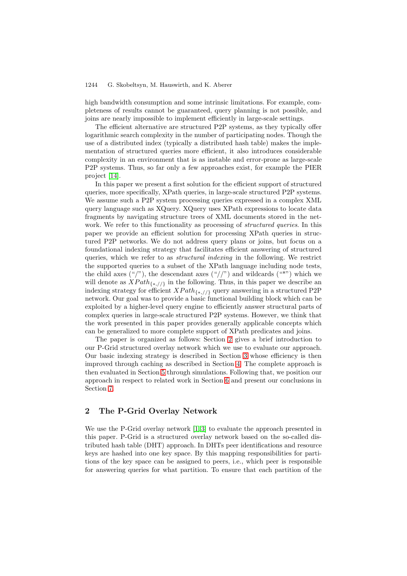high bandwidth consumption and some intrinsic limitations. For example, completeness of results cannot be guaranteed, query planning is not possible, and joins are nearly impossible to implement efficiently in large-scale settings.

The efficient alternative are structured P2P systems, as they typically offer logarithmic search complexity in the number of participating nodes. Though the use of a distributed index (typically a distributed hash table) makes the implementation of structured queries more efficient, it also introduces considerable complexity in an environment that is as instable and error-prone as large-scale P2P systems. Thus, so far only a few approaches exist, for example the PIER project [\[14\]](#page-16-0).

In this paper we present a first solution for the efficient support of structured queries, more specifically, XPath queries, in large-scale structured P2P systems. We assume such a P2P system processing queries expressed in a complex XML query language such as XQuery. XQuery uses XPath expressions to locate data fragments by navigating structure trees of XML documents stored in the network. We refer to this functionality as processing of *structured queries*. In this paper we provide an efficient solution for processing XPath queries in structured P2P networks. We do not address query plans or joins, but focus on a foundational indexing strategy that facilitates efficient answering of structured queries, which we refer to as structural indexing in the following. We restrict the supported queries to a subset of the XPath language including node tests, the child axes  $(\binom{u}{v})$ , the descendant axes  $(\binom{u}{v})$  and wildcards  $(\binom{u}{v})$  which we will denote as  $XPath_{\{*,//\}}$  in the following. Thus, in this paper we describe an indexing strategy for efficient  $XPath_{\{*,//\}}$  query answering in a structured P2P network. Our goal was to provide a basic functional building block which can be exploited by a higher-level query engine to efficiently answer structural parts of complex queries in large-scale structured P2P systems. However, we think that the work presented in this paper provides generally applicable concepts which can be generalized to more complete support of XPath predicates and joins.

The paper is organized as follows: Section [2](#page-1-0) gives a brief introduction to our P-Grid structured overlay network which we use to evaluate our approach. Our basic indexing strategy is described in Section [3](#page-4-0) whose efficiency is then improved through caching as described in Section [4.](#page-6-0) The complete approach is then evaluated in Section [5](#page-10-0) through simulations. Following that, we position our approach in respect to related work in Section [6](#page-13-0) and present our conclusions in Section [7.](#page-15-1)

# <span id="page-1-0"></span>**2 The P-Grid Overlay Network**

We use the P-Grid overlay network  $[1,3]$  $[1,3]$  to evaluate the approach presented in this paper. P-Grid is a structured overlay network based on the so-called distributed hash table (DHT) approach. In DHTs peer identifications and resource keys are hashed into one key space. By this mapping responsibilities for partitions of the key space can be assigned to peers, i.e., which peer is responsible for answering queries for what partition. To ensure that each partition of the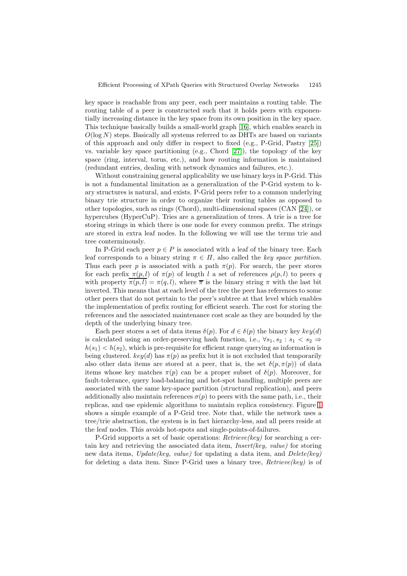key space is reachable from any peer, each peer maintains a routing table. The routing table of a peer is constructed such that it holds peers with exponentially increasing distance in the key space from its own position in the key space. This technique basically builds a small-world graph [\[16\]](#page-16-1), which enables search in  $O(\log N)$  steps. Basically all systems referred to as DHTs are based on variants of this approach and only differ in respect to fixed (e.g., P-Grid, Pastry [\[25\]](#page-17-1)) vs. variable key space partitioning (e.g., Chord [\[27\]](#page-17-2)), the topology of the key space (ring, interval, torus, etc.), and how routing information is maintained (redundant entries, dealing with network dynamics and failures, etc.).

Without constraining general applicability we use binary keys in P-Grid. This is not a fundamental limitation as a generalization of the P-Grid system to kary structures is natural, and exists. P-Grid peers refer to a common underlying binary trie structure in order to organize their routing tables as opposed to other topologies, such as rings (Chord), multi-dimensional spaces (CAN [\[24\]](#page-17-3)), or hypercubes (HyperCuP). Tries are a generalization of trees. A trie is a tree for storing strings in which there is one node for every common prefix. The strings are stored in extra leaf nodes. In the following we will use the terms trie and tree conterminously.

In P-Grid each peer  $p \in P$  is associated with a leaf of the binary tree. Each leaf corresponds to a binary string  $\pi \in \Pi$ , also called the key space partition. Thus each peer p is associated with a path  $\pi(p)$ . For search, the peer stores for each prefix  $\pi(p,l)$  of  $\pi(p)$  of length l a set of references  $\rho(p,l)$  to peers q with property  $\overline{\pi(p,l)} = \pi(q,l)$ , where  $\overline{\pi}$  is the binary string  $\pi$  with the last bit inverted. This means that at each level of the tree the peer has references to some other peers that do not pertain to the peer's subtree at that level which enables the implementation of prefix routing for efficient search. The cost for storing the references and the associated maintenance cost scale as they are bounded by the depth of the underlying binary tree.

Each peer stores a set of data items  $\delta(p)$ . For  $d \in \delta(p)$  the binary key  $key(d)$ is calculated using an order-preserving hash function, i.e.,  $\forall s_1, s_2 : s_1 \langle s_2 \rangle$  $h(s_1) < h(s_2)$ , which is pre-requisite for efficient range querying as information is being clustered.  $key(d)$  has  $\pi(p)$  as prefix but it is not excluded that temporarily also other data items are stored at a peer, that is, the set  $\delta(p, \pi(p))$  of data items whose key matches  $\pi(p)$  can be a proper subset of  $\delta(p)$ . Moreover, for fault-tolerance, query load-balancing and hot-spot handling, multiple peers are associated with the same key-space partition (structural replication), and peers additionally also maintain references  $\sigma(p)$  to peers with the same path, i.e., their replicas, and use epidemic algorithms to maintain replica consistency. Figure [1](#page-3-0) shows a simple example of a P-Grid tree. Note that, while the network uses a tree/trie abstraction, the system is in fact hierarchy-less, and all peers reside at the leaf nodes. This avoids hot-spots and single-points-of-failures.

P-Grid supports a set of basic operations:  $Retrieve(key)$  for searching a certain key and retrieving the associated data item, Insert(key, value) for storing new data items,  $Update(key, value)$  for updating a data item, and  $Delete(key)$ for deleting a data item. Since P-Grid uses a binary tree,  $Retrieve(key)$  is of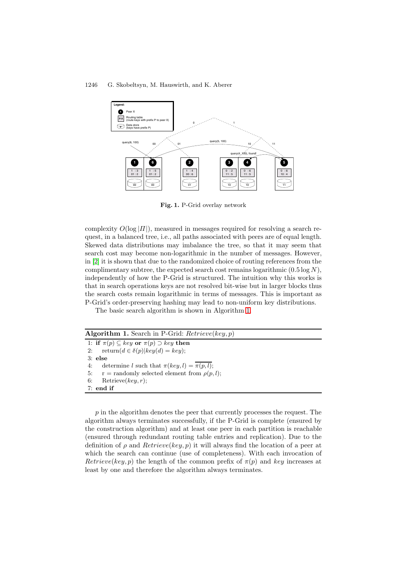

<span id="page-3-0"></span>**Fig. 1.** P-Grid overlay network

complexity  $O(\log |H|)$ , measured in messages required for resolving a search request, in a balanced tree, i.e., all paths associated with peers are of equal length. Skewed data distributions may imbalance the tree, so that it may seem that search cost may become non-logarithmic in the number of messages. However, in [\[2\]](#page-15-4) it is shown that due to the randomized choice of routing references from the complimentary subtree, the expected search cost remains logarithmic  $(0.5 \log N)$ , independently of how the P-Grid is structured. The intuition why this works is that in search operations keys are not resolved bit-wise but in larger blocks thus the search costs remain logarithmic in terms of messages. This is important as P-Grid's order-preserving hashing may lead to non-uniform key distributions.

The basic search algorithm is shown in Algorithm [1.](#page-3-1)

| <b>Algorithm 1.</b> Search in P-Grid: $Retrieve(key, p)$             |
|----------------------------------------------------------------------|
| 1: if $\pi(p) \subset \text{key or } \pi(p) \supset \text{key then}$ |
| 2: $return(d \in \delta(p) key(d) = key);$                           |
| $3:$ else                                                            |
| determine l such that $\pi(key, l) = \pi(p, l);$<br>4:               |
| $r =$ randomly selected element from $\rho(p, l)$ ;<br>5:            |
| Retrieve $(key, r);$<br>6:                                           |
| $7:$ end if                                                          |
|                                                                      |

<span id="page-3-1"></span>p in the algorithm denotes the peer that currently processes the request. The algorithm always terminates successfully, if the P-Grid is complete (ensured by the construction algorithm) and at least one peer in each partition is reachable (ensured through redundant routing table entries and replication). Due to the definition of  $\rho$  and  $Retrieve(key, p)$  it will always find the location of a peer at which the search can continue (use of completeness). With each invocation of Retrieve(key, p) the length of the common prefix of  $\pi(p)$  and key increases at least by one and therefore the algorithm always terminates.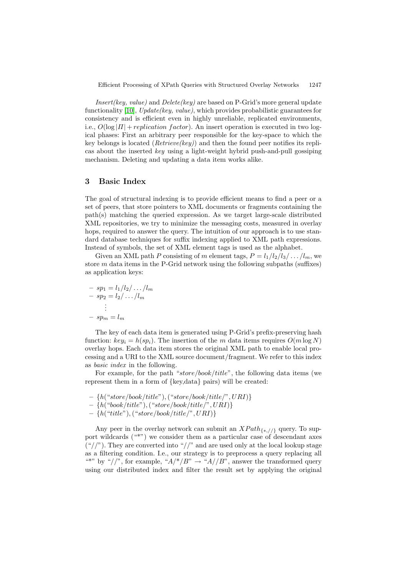*Insert(key, value)* and  $Delete(key)$  are based on P-Grid's more general update functionality [\[10\]](#page-16-2),  $Update(key, value)$ , which provides probabilistic guarantees for consistency and is efficient even in highly unreliable, replicated environments, i.e.,  $O(\log |H| + replication factor)$ . An insert operation is executed in two logical phases: First an arbitrary peer responsible for the key-space to which the key belongs is located  $(Retricve(key))$  and then the found peer notifies its replicas about the inserted key using a light-weight hybrid push-and-pull gossiping mechanism. Deleting and updating a data item works alike.

# <span id="page-4-0"></span>**3 Basic Index**

The goal of structural indexing is to provide efficient means to find a peer or a set of peers, that store pointers to XML documents or fragments containing the path(s) matching the queried expression. As we target large-scale distributed XML repositories, we try to minimize the messaging costs, measured in overlay hops, required to answer the query. The intuition of our approach is to use standard database techniques for suffix indexing applied to XML path expressions. Instead of symbols, the set of XML element tags is used as the alphabet.

Given an XML path P consisting of m element tags,  $P = l_1/l_2/l_3/ \ldots/l_m$ , we store  $m$  data items in the P-Grid network using the following subpaths (suffixes) as application keys:

$$
- sp1 = l1/l2/ \dots /lm
$$
  

$$
- sp2 = l2/ \dots /lm
$$
  

$$
\vdots
$$
  

$$
- spm = lm
$$

The key of each data item is generated using P-Grid's prefix-preserving hash function:  $key_i = h(sp_i)$ . The insertion of the m data items requires  $O(m \log N)$ overlay hops. Each data item stores the original XML path to enable local processing and a URI to the XML source document/fragment. We refer to this index as basic index in the following.

For example, for the path " $store/book/title$ ", the following data items (we represent them in a form of {key,data} pairs) will be created:

- **–** {h("store/book/title"),("store/book/title/", URI)}
- **–** {h("book/title"),("store/book/title/",URI)}
- $-$  {h("title"), ("store/book/title/", URI)}

Any peer in the overlay network can submit an  $XPath_{\{*,//\}}$  query. To support wildcards ("\*") we consider them as a particular case of descendant axes  $\left(\frac{\alpha}{\gamma}\right)$ . They are converted into  $\frac{\alpha}{\gamma}$  and are used only at the local lookup stage as a filtering condition. I.e., our strategy is to preprocess a query replacing all "\*" by "//", for example, " $A$ /\*/ $B$ "  $\rightarrow$  " $A$ / $/B$ ", answer the transformed query using our distributed index and filter the result set by applying the original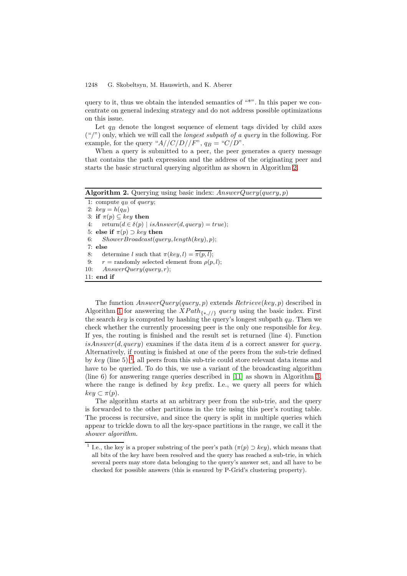query to it, thus we obtain the intended semantics of "\*". In this paper we concentrate on general indexing strategy and do not address possible optimizations on this issue.

Let  $q_B$  denote the longest sequence of element tags divided by child axes  $(\lq'')$  only, which we will call the *longest subpath of a query* in the following. For example, for the query " $A//C/D//F$ ",  $q_B = "C/D$ ".

When a query is submitted to a peer, the peer generates a query message that contains the path expression and the address of the originating peer and starts the basic structural querying algorithm as shown in Algorithm [2.](#page-5-0)

**Algorithm 2.** Querying using basic index: AnswerQuery(query, p)

1: compute  $q_B$  of *query*; 2:  $key = h(q_B)$ 3: **if**  $\pi(p) \subset \text{key}$  **then** 4:  $return(d \in \delta(p) | isAnswer(d, query) = true);$ 5: **else if**  $\pi(p) \supset \text{key}$  **then** 6:  $Shower Broadcast(query, length(key), p);$ 7: **else** 8: determine l such that  $\pi(key, l) = \overline{\pi(p, l)}$ ; 9:  $r =$  randomly selected element from  $\rho(p, l)$ ; 10:  $AnswerQuery(query, r);$ 11: **end if**

<span id="page-5-0"></span>The function  $AnswerQuery(query, p)$  extends  $Retrieve(key, p)$  described in Algorithm [1](#page-3-1) for answering the  $XPath_{\{*,//\}}$  query using the basic index. First the search key is computed by hashing the query's longest subpath  $q_B$ . Then we check whether the currently processing peer is the only one responsible for key. If yes, the routing is finished and the result set is returned (line 4). Function  $isAnswer(d, query)$  examines if the data item d is a correct answer for *query*. Alternatively, if routing is finished at one of the peers from the sub-trie defined by  $key$  (line 5)<sup>[1](#page-5-1)</sup>, all peers from this sub-trie could store relevant data items and have to be queried. To do this, we use a variant of the broadcasting algorithm (line 6) for answering range queries described in [\[11\]](#page-16-3) as shown in Algorithm [3,](#page-6-1) where the range is defined by  $key$  prefix. I.e., we query all peers for which  $key \subset \pi(p)$ .

The algorithm starts at an arbitrary peer from the sub-trie, and the query is forwarded to the other partitions in the trie using this peer's routing table. The process is recursive, and since the query is split in multiple queries which appear to trickle down to all the key-space partitions in the range, we call it the shower algorithm.

<span id="page-5-1"></span><sup>&</sup>lt;sup>1</sup> I.e., the key is a proper substring of the peer's path  $(\pi(p) \supset \text{ke} y)$ , which means that all bits of the key have been resolved and the query has reached a sub-trie, in which several peers may store data belonging to the query's answer set, and all have to be checked for possible answers (this is ensured by P-Grid's clustering property).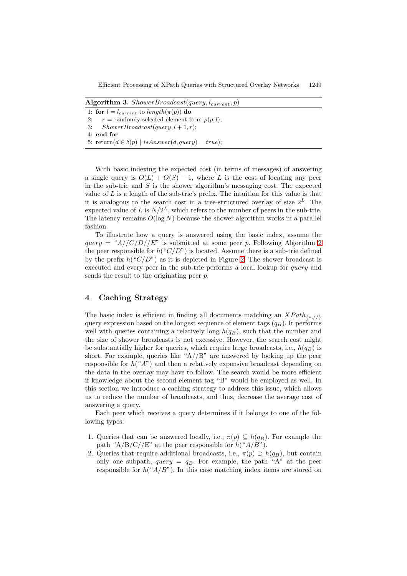| <b>Algorithm 3.</b> Shower Broadcast(query, $l_{current}$ , p) |
|----------------------------------------------------------------|
| 1: for $l = l_{current}$ to $length(\pi(p))$ do                |
| 2: $r =$ randomly selected element from $\rho(p, l)$ ;         |
| 3: $Shower Broadcast(query, l + 1, r);$                        |
| $4:$ end for                                                   |
| 5: return( $d \in \delta(p)$ ) is Answer(d, query) = true);    |
|                                                                |

<span id="page-6-1"></span>With basic indexing the expected cost (in terms of messages) of answering a single query is  $O(L) + O(S) - 1$ , where L is the cost of locating any peer in the sub-trie and  $S$  is the shower algorithm's messaging cost. The expected value of  $L$  is a length of the sub-trie's prefix. The intuition for this value is that it is analogous to the search cost in a tree-structured overlay of size  $2^L$ . The expected value of L is  $N/2^L$ , which refers to the number of peers in the sub-trie. The latency remains  $O(\log N)$  because the shower algorithm works in a parallel fashion.

To illustrate how a query is answered using the basic index, assume the query = " $A//C/D//E$ " is submitted at some peer p. Following Algorithm [2](#page-5-0) the peer responsible for  $h("C/D")$  is located. Assume there is a sub-trie defined by the prefix  $h("C/D")$  as it is depicted in Figure [2.](#page-10-1) The shower broadcast is executed and every peer in the sub-trie performs a local lookup for query and sends the result to the originating peer p.

# <span id="page-6-0"></span>**4 Caching Strategy**

The basic index is efficient in finding all documents matching an  $XPath_{\{*,//\}}$ query expression based on the longest sequence of element tags  $(q_B)$ . It performs well with queries containing a relatively long  $h(q_B)$ , such that the number and the size of shower broadcasts is not excessive. However, the search cost might be substantially higher for queries, which require large broadcasts, i.e.,  $h(q_B)$  is short. For example, queries like " $A//B$ " are answered by looking up the peer responsible for  $h("A")$  and then a relatively expensive broadcast depending on the data in the overlay may have to follow. The search would be more efficient if knowledge about the second element tag "B" would be employed as well. In this section we introduce a caching strategy to address this issue, which allows us to reduce the number of broadcasts, and thus, decrease the average cost of answering a query.

Each peer which receives a query determines if it belongs to one of the following types:

- 1. Queries that can be answered locally, i.e.,  $\pi(p) \subseteq h(q_B)$ . For example the path "A/B/C//E" at the peer responsible for  $h("A/B")$ .
- 2. Queries that require additional broadcasts, i.e.,  $\pi(p) \supset h(q_B)$ , but contain only one subpath, *query* =  $q_B$ . For example, the path "A" at the peer responsible for  $h("A/B")$ . In this case matching index items are stored on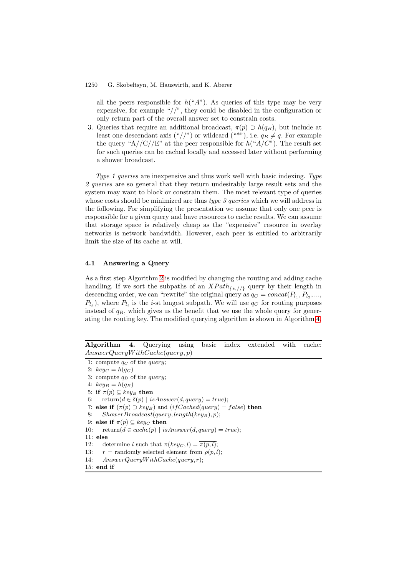all the peers responsible for  $h("A")$ . As queries of this type may be very expensive, for example " $\frac{1}{2}$ ", they could be disabled in the configuration or only return part of the overall answer set to constrain costs.

3. Queries that require an additional broadcast,  $\pi(p) \supset h(q_B)$ , but include at least one descendant axis ("/") or wildcard ("\*"), i.e.  $q_B \neq q$ . For example the query "A//C//E" at the peer responsible for  $h("A/C")$ . The result set for such queries can be cached locally and accessed later without performing a shower broadcast.

Type 1 queries are inexpensive and thus work well with basic indexing. Type 2 queries are so general that they return undesirably large result sets and the system may want to block or constrain them. The most relevant type of queries whose costs should be minimized are thus *type 3 queries* which we will address in the following. For simplifying the presentation we assume that only one peer is responsible for a given query and have resources to cache results. We can assume that storage space is relatively cheap as the "expensive" resource in overlay networks is network bandwidth. However, each peer is entitled to arbitrarily limit the size of its cache at will.

## **4.1 Answering a Query**

As a first step Algorithm [2](#page-5-0) is modified by changing the routing and adding cache handling. If we sort the subpaths of an  $XPath_{\{*,//\}}$  query by their length in descending order, we can "rewrite" the original query as  $q_C = concat(P_{l_1}, P_{l_2}, ...,$  $P_{l_k}$ , where  $P_{l_i}$  is the *i*-st longest subpath. We will use  $q_C$  for routing purposes instead of  $q_B$ , which gives us the benefit that we use the whole query for generating the routing key. The modified querying algorithm is shown in Algorithm [4.](#page-7-0)

**Algorithm 4.** Querying using basic index extended with cache:  $AnswerQueryWithCache(query, p)$ 

```
1: compute q_C of the query;
2: key_C = h(q_C)3: compute q_B of the query;
4: key_B = h(q_B)5: if \pi(p) \subseteq key_B then
6: return(d \in \delta(p) | isAnswer(d, query) = true);7: else if (\pi(p) \supset key_B) and (ifCached(query) = false) then
8: Shower Broadcast(query, length(key_B), p);9: else if \pi(p) \subseteq key_C then
10: return(d \in cache(p) | isAnswer(d, query) = true);11: else
12: determine l such that \pi(key_C, l) = \overline{\pi(p, l)};
13: r = randomly selected element from \rho(p,l);
14: AnswerQueryWithCache(query,r);
15: end if
```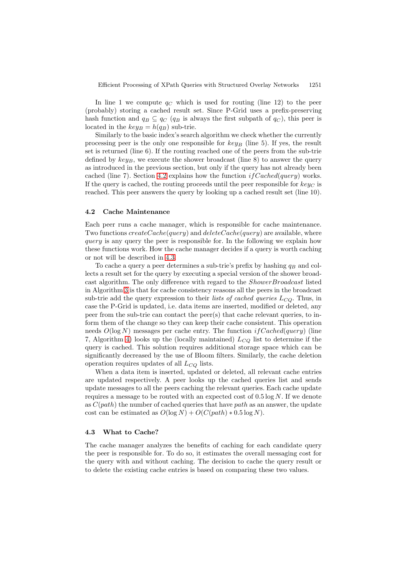In line 1 we compute  $q_C$  which is used for routing (line 12) to the peer (probably) storing a cached result set. Since P-Grid uses a prefix-preserving hash function and  $q_B \subseteq q_C$  ( $q_B$  is always the first subpath of  $q_C$ ), this peer is located in the  $key_B = h(q_B)$  sub-trie.

Similarly to the basic index's search algorithm we check whether the currently processing peer is the only one responsible for  $key_B$  (line 5). If yes, the result set is returned (line 6). If the routing reached one of the peers from the sub-trie defined by  $key_B$ , we execute the shower broadcast (line 8) to answer the query as introduced in the previous section, but only if the query has not already been cached (line 7). Section [4.2](#page-8-0) explains how the function  $ifCached(query)$  works. If the query is cached, the routing proceeds until the peer responsible for  $keuc$  is reached. This peer answers the query by looking up a cached result set (line 10).

## <span id="page-8-0"></span>**4.2 Cache Maintenance**

Each peer runs a cache manager, which is responsible for cache maintenance. Two functions  $createCache(query)$  and  $deleteCache(query)$  are available, where query is any query the peer is responsible for. In the following we explain how these functions work. How the cache manager decides if a query is worth caching or not will be described in [4.3.](#page-8-1)

To cache a query a peer determines a sub-trie's prefix by hashing  $q_B$  and collects a result set for the query by executing a special version of the shower broadcast algorithm. The only difference with regard to the ShowerBroadcast listed in Algorithm [3](#page-6-1) is that for cache consistency reasons all the peers in the broadcast sub-trie add the query expression to their *lists of cached queries*  $L_{CO}$ . Thus, in case the P-Grid is updated, i.e. data items are inserted, modified or deleted, any peer from the sub-trie can contact the peer(s) that cache relevant queries, to inform them of the change so they can keep their cache consistent. This operation needs  $O(\log N)$  messages per cache entry. The function  $if Cached(query)$  (line 7, Algorithm [4\)](#page-7-0) looks up the (locally maintained)  $L_{CQ}$  list to determine if the query is cached. This solution requires additional storage space which can be significantly decreased by the use of Bloom filters. Similarly, the cache deletion operation requires updates of all  $L_{CO}$  lists.

When a data item is inserted, updated or deleted, all relevant cache entries are updated respectively. A peer looks up the cached queries list and sends update messages to all the peers caching the relevant queries. Each cache update requires a message to be routed with an expected cost of  $0.5 \log N$ . If we denote as  $C(path)$  the number of cached queries that have path as an answer, the update cost can be estimated as  $O(\log N) + O(C(path) * 0.5 \log N)$ .

# <span id="page-8-1"></span>**4.3 What to Cache?**

The cache manager analyzes the benefits of caching for each candidate query the peer is responsible for. To do so, it estimates the overall messaging cost for the query with and without caching. The decision to cache the query result or to delete the existing cache entries is based on comparing these two values.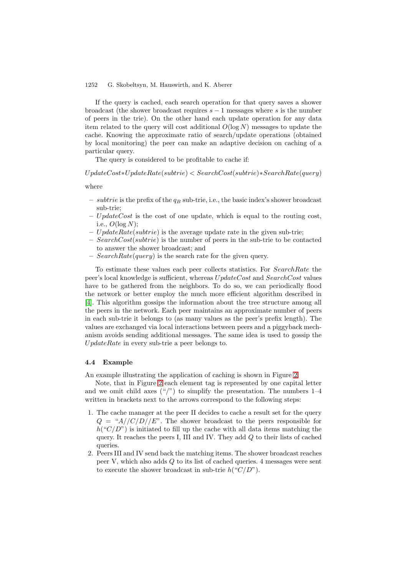If the query is cached, each search operation for that query saves a shower broadcast (the shower broadcast requires  $s - 1$  messages where s is the number of peers in the trie). On the other hand each update operation for any data item related to the query will cost additional  $O(\log N)$  messages to update the cache. Knowing the approximate ratio of search/update operations (obtained by local monitoring) the peer can make an adaptive decision on caching of a particular query.

The query is considered to be profitable to cache if:

UpdateCost∗UpdateRate(subtrie) < SearchCost(subtrie)∗SearchRate(query)

where

- $-$  subtrie is the prefix of the  $q_B$  sub-trie, i.e., the basic index's shower broadcast sub-trie;
- **–** UpdateCost is the cost of one update, which is equal to the routing cost, i.e.,  $O(\log N)$ ;
- $\overline{U}$  =  $UpdateRate(subtrie)$  is the average update rate in the given sub-trie;
- **–** SearchCost(subtrie) is the number of peers in the sub-trie to be contacted to answer the shower broadcast; and
- **–** SearchRate(query) is the search rate for the given query.

To estimate these values each peer collects statistics. For SearchRate the peer's local knowledge is sufficient, whereas UpdateCost and SearchCost values have to be gathered from the neighbors. To do so, we can periodically flood the network or better employ the much more efficient algorithm described in [\[4\]](#page-15-5). This algorithm gossips the information about the tree structure among all the peers in the network. Each peer maintains an approximate number of peers in each sub-trie it belongs to (as many values as the peer's prefix length). The values are exchanged via local interactions between peers and a piggyback mechanism avoids sending additional messages. The same idea is used to gossip the UpdateRate in every sub-trie a peer belongs to.

## **4.4 Example**

An example illustrating the application of caching is shown in Figure [2.](#page-10-1)

Note, that in Figure [2](#page-10-1) each element tag is represented by one capital letter and we omit child axes  $(\frac{u}{v})$  to simplify the presentation. The numbers 1–4 written in brackets next to the arrows correspond to the following steps:

- 1. The cache manager at the peer II decides to cache a result set for the query  $Q = \frac{dA}{C}D}{E$ ". The shower broadcast to the peers responsible for  $h("C/D")$  is initiated to fill up the cache with all data items matching the query. It reaches the peers I, III and IV. They add Q to their lists of cached queries.
- 2. Peers III and IV send back the matching items. The shower broadcast reaches peer V, which also adds Q to its list of cached queries. 4 messages were sent to execute the shower broadcast in sub-trie  $h("C/D")$ .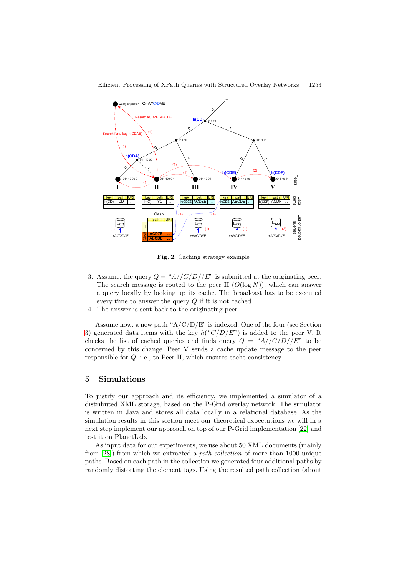

Efficient Processing of XPath Queries with Structured Overlay Networks 1253

<span id="page-10-1"></span>**Fig. 2.** Caching strategy example

- 3. Assume, the query  $Q = \frac{4}{C/D}{/E}$  is submitted at the originating peer. The search message is routed to the peer II  $(O(\log N))$ , which can answer a query locally by looking up its cache. The broadcast has to be executed every time to answer the query  $Q$  if it is not cached.
- 4. The answer is sent back to the originating peer.

Assume now, a new path " $A/C/D/E$ " is indexed. One of the four (see Section [3\)](#page-4-0) generated data items with the key  $h("C/D/E")$  is added to the peer V. It checks the list of cached queries and finds query  $Q = \frac{dA}{C}D}{E''}$  to be concerned by this change. Peer V sends a cache update message to the peer responsible for Q, i.e., to Peer II, which ensures cache consistency.

# <span id="page-10-0"></span>**5 Simulations**

To justify our approach and its efficiency, we implemented a simulator of a distributed XML storage, based on the P-Grid overlay network. The simulator is written in Java and stores all data locally in a relational database. As the simulation results in this section meet our theoretical expectations we will in a next step implement our approach on top of our P-Grid implementation [\[22\]](#page-17-4) and test it on PlanetLab.

As input data for our experiments, we use about 50 XML documents (mainly from [\[28\]](#page-17-5)) from which we extracted a path collection of more than 1000 unique paths. Based on each path in the collection we generated four additional paths by randomly distorting the element tags. Using the resulted path collection (about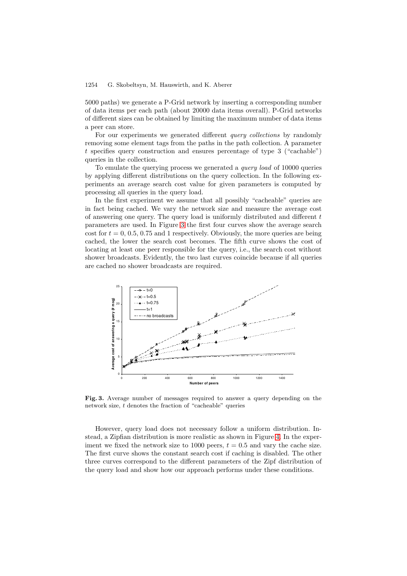5000 paths) we generate a P-Grid network by inserting a corresponding number of data items per each path (about 20000 data items overall). P-Grid networks of different sizes can be obtained by limiting the maximum number of data items a peer can store.

For our experiments we generated different query collections by randomly removing some element tags from the paths in the path collection. A parameter t specifies query construction and ensures percentage of type 3 ("cachable") queries in the collection.

To emulate the querying process we generated a query load of 10000 queries by applying different distributions on the query collection. In the following experiments an average search cost value for given parameters is computed by processing all queries in the query load.

In the first experiment we assume that all possibly "cacheable" queries are in fact being cached. We vary the network size and measure the average cost of answering one query. The query load is uniformly distributed and different t parameters are used. In Figure [3](#page-11-0) the first four curves show the average search cost for  $t = 0, 0.5, 0.75$  and 1 respectively. Obviously, the more queries are being cached, the lower the search cost becomes. The fifth curve shows the cost of locating at least one peer responsible for the query, i.e., the search cost without shower broadcasts. Evidently, the two last curves coincide because if all queries are cached no shower broadcasts are required.



<span id="page-11-0"></span>**Fig. 3.** Average number of messages required to answer a query depending on the network size, t denotes the fraction of "cacheable" queries

However, query load does not necessary follow a uniform distribution. Instead, a Zipfian distribution is more realistic as shown in Figure [4.](#page-12-0) In the experiment we fixed the network size to 1000 peers,  $t = 0.5$  and vary the cache size. The first curve shows the constant search cost if caching is disabled. The other three curves correspond to the different parameters of the Zipf distribution of the query load and show how our approach performs under these conditions.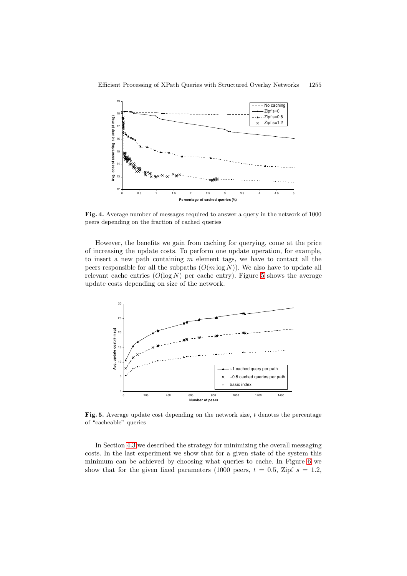

<span id="page-12-0"></span>**Fig. 4.** Average number of messages required to answer a query in the network of 1000 peers depending on the fraction of cached queries

However, the benefits we gain from caching for querying, come at the price of increasing the update costs. To perform one update operation, for example, to insert a new path containing  $m$  element tags, we have to contact all the peers responsible for all the subpaths  $(O(m \log N))$ . We also have to update all relevant cache entries  $(O(\log N))$  per cache entry). Figure [5](#page-12-1) shows the average update costs depending on size of the network.



<span id="page-12-1"></span>Fig. 5. Average update cost depending on the network size, t denotes the percentage of "cacheable" queries

In Section [4.3](#page-8-1) we described the strategy for minimizing the overall messaging costs. In the last experiment we show that for a given state of the system this minimum can be achieved by choosing what queries to cache. In Figure [6](#page-13-1) we show that for the given fixed parameters (1000 peers,  $t = 0.5$ , Zipf  $s = 1.2$ ,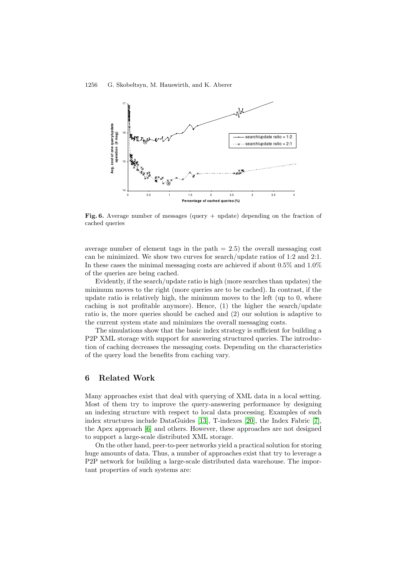

<span id="page-13-1"></span>**Fig. 6.** Average number of messages (query + update) depending on the fraction of cached queries

average number of element tags in the path  $= 2.5$ ) the overall messaging cost can be minimized. We show two curves for search/update ratios of 1:2 and 2:1. In these cases the minimal messaging costs are achieved if about 0.5% and 1.0% of the queries are being cached.

Evidently, if the search/update ratio is high (more searches than updates) the minimum moves to the right (more queries are to be cached). In contrast, if the update ratio is relatively high, the minimum moves to the left (up to 0, where caching is not profitable anymore). Hence, (1) the higher the search/update ratio is, the more queries should be cached and (2) our solution is adaptive to the current system state and minimizes the overall messaging costs.

The simulations show that the basic index strategy is sufficient for building a P2P XML storage with support for answering structured queries. The introduction of caching decreases the messaging costs. Depending on the characteristics of the query load the benefits from caching vary.

## <span id="page-13-0"></span>**6 Related Work**

Many approaches exist that deal with querying of XML data in a local setting. Most of them try to improve the query-answering performance by designing an indexing structure with respect to local data processing. Examples of such index structures include DataGuides [\[13\]](#page-16-4), T-indexes [\[20\]](#page-16-5), the Index Fabric [\[7\]](#page-16-6), the Apex approach [\[6\]](#page-15-6) and others. However, these approaches are not designed to support a large-scale distributed XML storage.

On the other hand, peer-to-peer networks yield a practical solution for storing huge amounts of data. Thus, a number of approaches exist that try to leverage a P2P network for building a large-scale distributed data warehouse. The important properties of such systems are: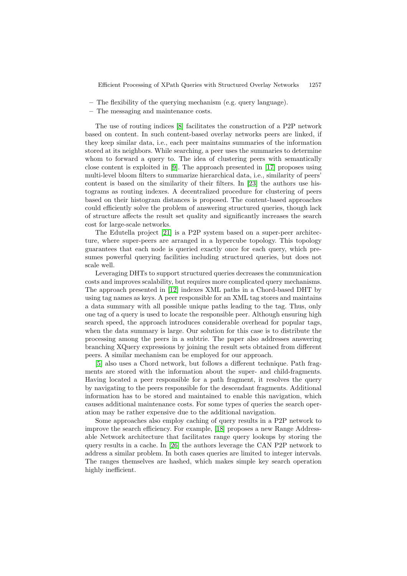- **–** The flexibility of the querying mechanism (e.g. query language).
- **–** The messaging and maintenance costs.

The use of routing indices [\[8\]](#page-16-7) facilitates the construction of a P2P network based on content. In such content-based overlay networks peers are linked, if they keep similar data, i.e., each peer maintains summaries of the information stored at its neighbors. While searching, a peer uses the summaries to determine whom to forward a query to. The idea of clustering peers with semantically close content is exploited in [\[9\]](#page-16-8). The approach presented in [\[17\]](#page-16-9) proposes using multi-level bloom filters to summarize hierarchical data, i.e., similarity of peers' content is based on the similarity of their filters. In [\[23\]](#page-17-6) the authors use histograms as routing indexes. A decentralized procedure for clustering of peers based on their histogram distances is proposed. The content-based approaches could efficiently solve the problem of answering structured queries, though lack of structure affects the result set quality and significantly increases the search cost for large-scale networks.

The Edutella project [\[21\]](#page-17-0) is a P2P system based on a super-peer architecture, where super-peers are arranged in a hypercube topology. This topology guarantees that each node is queried exactly once for each query, which presumes powerful querying facilities including structured queries, but does not scale well.

Leveraging DHTs to support structured queries decreases the communication costs and improves scalability, but requires more complicated query mechanisms. The approach presented in [\[12\]](#page-16-10) indexes XML paths in a Chord-based DHT by using tag names as keys. A peer responsible for an XML tag stores and maintains a data summary with all possible unique paths leading to the tag. Thus, only one tag of a query is used to locate the responsible peer. Although ensuring high search speed, the approach introduces considerable overhead for popular tags, when the data summary is large. Our solution for this case is to distribute the processing among the peers in a subtrie. The paper also addresses answering branching XQuery expressions by joining the result sets obtained from different peers. A similar mechanism can be employed for our approach.

[\[5\]](#page-15-7) also uses a Chord network, but follows a different technique. Path fragments are stored with the information about the super- and child-fragments. Having located a peer responsible for a path fragment, it resolves the query by navigating to the peers responsible for the descendant fragments. Additional information has to be stored and maintained to enable this navigation, which causes additional maintenance costs. For some types of queries the search operation may be rather expensive due to the additional navigation.

Some approaches also employ caching of query results in a P2P network to improve the search efficiency. For example, [\[18\]](#page-16-11) proposes a new Range Addressable Network architecture that facilitates range query lookups by storing the query results in a cache. In [\[26\]](#page-17-7) the authors leverage the CAN P2P network to address a similar problem. In both cases queries are limited to integer intervals. The ranges themselves are hashed, which makes simple key search operation highly inefficient.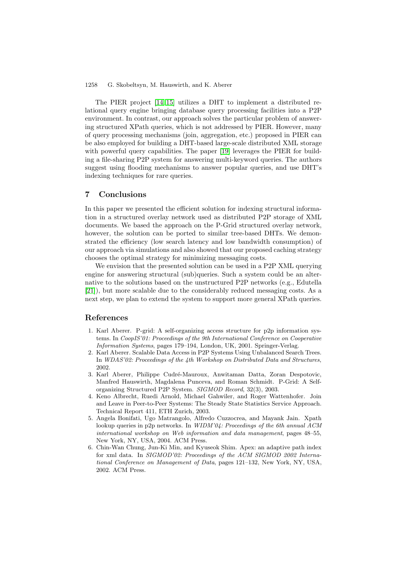The PIER project [\[14,](#page-16-0) [15\]](#page-16-12) utilizes a DHT to implement a distributed relational query engine bringing database query processing facilities into a P2P environment. In contrast, our approach solves the particular problem of answering structured XPath queries, which is not addressed by PIER. However, many of query processing mechanisms (join, aggregation, etc.) proposed in PIER can be also employed for building a DHT-based large-scale distributed XML storage with powerful query capabilities. The paper [\[19\]](#page-16-13) leverages the PIER for building a file-sharing P2P system for answering multi-keyword queries. The authors suggest using flooding mechanisms to answer popular queries, and use DHT's indexing techniques for rare queries.

# <span id="page-15-1"></span>**7 Conclusions**

In this paper we presented the efficient solution for indexing structural information in a structured overlay network used as distributed P2P storage of XML documents. We based the approach on the P-Grid structured overlay network, however, the solution can be ported to similar tree-based DHTs. We demonstrated the efficiency (low search latency and low bandwidth consumption) of our approach via simulations and also showed that our proposed caching strategy chooses the optimal strategy for minimizing messaging costs.

We envision that the presented solution can be used in a P2P XML querying engine for answering structural (sub)queries. Such a system could be an alternative to the solutions based on the unstructured P2P networks (e.g., Edutella [\[21\]](#page-17-0)), but more scalable due to the considerably reduced messaging costs. As a next step, we plan to extend the system to support more general XPath queries.

## <span id="page-15-2"></span><span id="page-15-0"></span>**References**

- 1. Karl Aberer. P-grid: A self-organizing access structure for p2p information systems. In CoopIS'01: Proceedings of the 9th International Conference on Cooperative Information Systems, pages 179–194, London, UK, 2001. Springer-Verlag.
- <span id="page-15-4"></span>2. Karl Aberer. Scalable Data Access in P2P Systems Using Unbalanced Search Trees. In WDAS'02: Proceedings of the 4th Workshop on Distributed Data and Structures, 2002.
- <span id="page-15-3"></span>3. Karl Aberer, Philippe Cudr´e-Mauroux, Anwitaman Datta, Zoran Despotovic, Manfred Hauswirth, Magdalena Punceva, and Roman Schmidt. P-Grid: A Selforganizing Structured P2P System. SIGMOD Record, 32(3), 2003.
- <span id="page-15-5"></span>4. Keno Albrecht, Ruedi Arnold, Michael Gahwiler, and Roger Wattenhofer. Join and Leave in Peer-to-Peer Systems: The Steady State Statistics Service Approach. Technical Report 411, ETH Zurich, 2003.
- <span id="page-15-7"></span>5. Angela Bonifati, Ugo Matrangolo, Alfredo Cuzzocrea, and Mayank Jain. Xpath lookup queries in p2p networks. In WIDM'04: Proceedings of the 6th annual ACM international workshop on Web information and data management, pages 48–55, New York, NY, USA, 2004. ACM Press.
- <span id="page-15-6"></span>6. Chin-Wan Chung, Jun-Ki Min, and Kyuseok Shim. Apex: an adaptive path index for xml data. In SIGMOD'02: Proceedings of the ACM SIGMOD 2002 International Conference on Management of Data, pages 121–132, New York, NY, USA, 2002. ACM Press.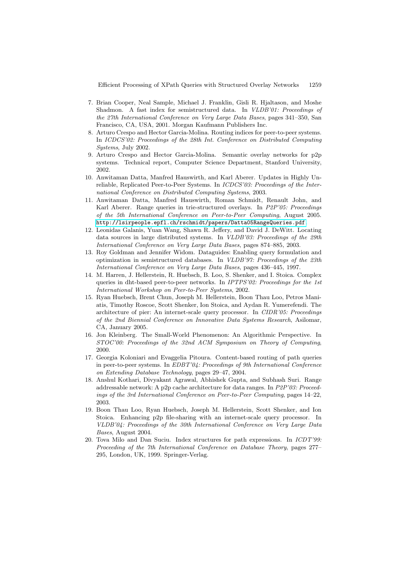- <span id="page-16-6"></span>7. Brian Cooper, Neal Sample, Michael J. Franklin, Gisli R. Hjaltason, and Moshe Shadmon. A fast index for semistructured data. In *VLDB'01: Proceedings of* the 27th International Conference on Very Large Data Bases, pages 341–350, San Francisco, CA, USA, 2001. Morgan Kaufmann Publishers Inc.
- <span id="page-16-7"></span>8. Arturo Crespo and Hector Garcia-Molina. Routing indices for peer-to-peer systems. In ICDCS'02: Proceedings of the 28th Int. Conference on Distributed Computing Systems, July 2002.
- <span id="page-16-8"></span>9. Arturo Crespo and Hector Garcia-Molina. Semantic overlay networks for p2p systems. Technical report, Computer Science Department, Stanford University, 2002.
- <span id="page-16-2"></span>10. Anwitaman Datta, Manfred Hauswirth, and Karl Aberer. Updates in Highly Unreliable, Replicated Peer-to-Peer Systems. In ICDCS'03: Proceedings of the International Conference on Distributed Computing Systems, 2003.
- <span id="page-16-3"></span>11. Anwitaman Datta, Manfred Hauswirth, Roman Schmidt, Renault John, and Karl Aberer. Range queries in trie-structured overlays. In P2P'05: Proceedings of the 5th International Conference on Peer-to-Peer Computing, August 2005. <http://lsirpeople.epfl.ch/rschmidt/papers/Datta05RangeQueries.pdf>.
- <span id="page-16-10"></span>12. Leonidas Galanis, Yuan Wang, Shawn R. Jeffery, and David J. DeWitt. Locating data sources in large distributed systems. In *VLDB'03: Proceedings of the 29th* International Conference on Very Large Data Bases, pages 874–885, 2003.
- <span id="page-16-4"></span>13. Roy Goldman and Jennifer Widom. Dataguides: Enabling query formulation and optimization in semistructured databases. In VLDB'97: Proceedings of the 23th International Conference on Very Large Data Bases, pages 436–445, 1997.
- <span id="page-16-0"></span>14. M. Harren, J. Hellerstein, R. Huebsch, B. Loo, S. Shenker, and I. Stoica. Complex queries in dht-based peer-to-peer networks. In IPTPS'02: Proceedings for the 1st International Workshop on Peer-to-Peer Systems, 2002.
- <span id="page-16-12"></span>15. Ryan Huebsch, Brent Chun, Joseph M. Hellerstein, Boon Thau Loo, Petros Maniatis, Timothy Roscoe, Scott Shenker, Ion Stoica, and Aydan R. Yumerefendi. The architecture of pier: An internet-scale query processor. In CIDR'05: Proceedings of the 2nd Biennial Conference on Innovative Data Systems Research, Asilomar, CA, January 2005.
- <span id="page-16-1"></span>16. Jon Kleinberg. The Small-World Phenomenon: An Algorithmic Perspective. In STOC'00: Proceedings of the 32nd ACM Symposium on Theory of Computing, 2000.
- <span id="page-16-9"></span>17. Georgia Koloniari and Evaggelia Pitoura. Content-based routing of path queries in peer-to-peer systems. In EDBT'04: Proceedings of 9th International Conference on Extending Database Technology, pages 29–47, 2004.
- <span id="page-16-11"></span>18. Anshul Kothari, Divyakant Agrawal, Abhishek Gupta, and Subhash Suri. Range addressable network: A p2p cache architecture for data ranges. In P2P'03: Proceedings of the 3rd International Conference on Peer-to-Peer Computing, pages 14–22, 2003.
- <span id="page-16-13"></span>19. Boon Thau Loo, Ryan Huebsch, Joseph M. Hellerstein, Scott Shenker, and Ion Stoica. Enhancing p2p file-sharing with an internet-scale query processor. In VLDB'04: Proceedings of the 30th International Conference on Very Large Data Bases, August 2004.
- <span id="page-16-5"></span>20. Tova Milo and Dan Suciu. Index structures for path expressions. In ICDT'99: Proceeding of the 7th International Conference on Database Theory, pages 277– 295, London, UK, 1999. Springer-Verlag.